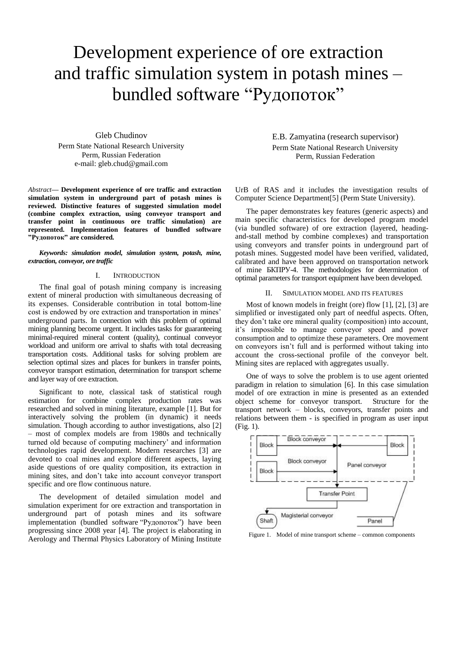# Development experience of ore extraction and traffic simulation system in potash mines – bundled software "Рудопоток"

Gleb Chudinov Perm State National Research University Perm, Russian Federation e-mail: gleb.chud@gmail.com

*Abstract***— Development experience of ore traffic and extraction simulation system in underground part of potash mines is reviewed. Distinctive features of suggested simulation model (combine complex extraction, using conveyor transport and transfer point in continuous ore traffic simulation) are represented. Implementation features of bundled software "Рудопоток" are considered***.*

### *Keywords: simulation model, simulation system, potash, mine, extraction, conveyor, ore traffic*

## I. INTRODUCTION

The final goal of potash mining company is increasing extent of mineral production with simultaneous decreasing of its expenses. Considerable contribution in total bottom-line cost is endowed by ore extraction and transportation in mines' underground parts. In connection with this problem of optimal mining planning become urgent. It includes tasks for guaranteeing minimal-required mineral content (quality), continual conveyor workload and uniform ore arrival to shafts with total decreasing transportation costs. Additional tasks for solving problem are selection optimal sizes and places for bunkers in transfer points, conveyor transport estimation, determination for transport scheme and layer way of ore extraction.

Significant to note, classical task of statistical rough estimation for combine complex production rates was researched and solved in mining literature, example [\[1\].](#page-2-0) But for interactively solving the problem (in dynamic) it needs simulation. Though according to author investigations, also [\[2\]](#page-2-1) – most of complex models are from 1980s and technically turned old because of computing machinery' and information technologies rapid development. Modern researches [\[3\]](#page-2-2) are devoted to coal mines and explore different aspects, laying aside questions of ore quality composition, its extraction in mining sites, and don't take into account conveyor transport specific and ore flow continuous nature.

The development of detailed simulation model and simulation experiment for ore extraction and transportation in underground part of potash mines and its software implementation (bundled software "Рудопоток") have been progressing since 2008 year [\[4\].](#page-2-3) The project is elaborating in Aerology and Thermal Physics Laboratory of Mining Institute

E.B. Zamyatina (research supervisor) Perm State National Research University Perm, Russian Federation

UrB of RAS and it includes the investigation results of Computer Science Department[5] (Perm State University).

The paper demonstrates key features (generic aspects) and main specific characteristics for developed program model (via bundled software) of ore extraction (layered, headingand-stall method by combine complexes) and transportation using conveyors and transfer points in underground part of potash mines. Suggested model have been verified, validated, calibrated and have been approved on transportation network of mine БКПРУ-4. The methodologies for determination of optimal parameters for transport equipment have been developed.

#### II. SIMULATION MODEL AND ITS FEATURES

Most of known models in freight (ore) flow [\[1\],](#page-2-0) [\[2\],](#page-2-1) [\[3\]](#page-2-2) are simplified or investigated only part of needful aspects. Often, they don't take ore mineral quality (composition) into account, it's impossible to manage conveyor speed and power consumption and to optimize these parameters. Ore movement on conveyors isn't full and is performed without taking into account the cross-sectional profile of the conveyor belt. Mining sites are replaced with aggregates usually.

One of ways to solve the problem is to use agent oriented paradigm in relation to simulation [\[6\].](#page-2-4) In this case simulation model of ore extraction in mine is presented as an extended object scheme for conveyor transport. Structure for the transport network – blocks, conveyors, transfer points and relations between them - is specified in program as user input (Fig. 1).



Figure 1. Model of mine transport scheme – common components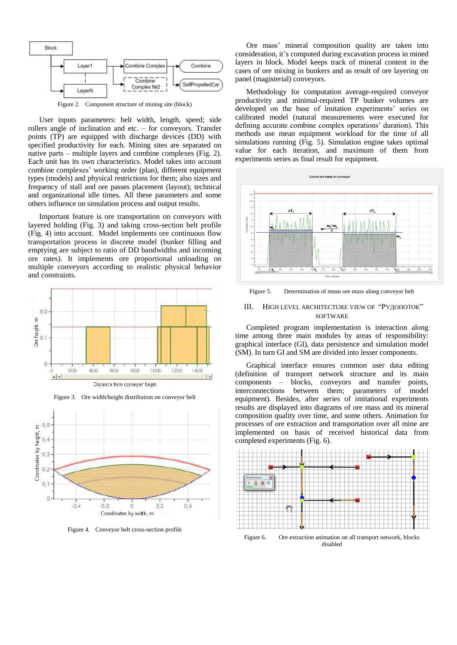

Figure 2. Component structure of mining site (block)

User inputs parameters: belt width, length, speed; side rollers angle of inclination and etc. – for conveyors. Transfer points (TP) are equipped with discharge devices (DD) with specified productivity for each. Mining sites are separated on native parts – multiple layers and combine complexes (Fig. 2). Each unit has its own characteristics. Model takes into account combine complexes' working order (plan), different equipment types (models) and physical restrictions for them; also sizes and frequency of stall and ore passes placement (layout); technical and organizational idle times. All these parameters and some others influence on simulation process and output results.

Important feature is ore transportation on conveyors with layered holding (Fig. 3) and taking cross-section belt profile (Fig. 4) into account. Model implements ore continuous flow transportation process in discrete model (bunker filling and emptying are subject to ratio of DD bandwidths and incoming ore rates). It implements ore proportional unloading on multiple conveyors according to realistic physical behavior and constraints.



Figure 3. Ore width/height distribution on conveyor belt



Figure 4. Conveyor belt cross-section profile

Ore mass' mineral composition quality are taken into consideration, it's computed during excavation process in mined layers in block. Model keeps track of mineral content in the cases of ore mixing in bunkers and as result of ore layering on panel (magisterial) conveyors.

Methodology for computation average-required conveyor productivity and minimal-required TP bunker volumes are developed on the base of imitation experiments' series on calibrated model (natural measurements were executed for defining accurate combine complex operations' duration). This methods use mean equipment workload for the time of all simulations running (Fig. 5). Simulation engine takes optimal value for each iteration, and maximum of them from experiments series as final result for equipment.



Figure 5. Determination of mean ore mass along conveyor belt

# III. HIGH LEVEL ARCHITECTURE VIEW OF "РУДОПОТОК" **SOFTWARE**

Completed program implementation is interaction along time among three main modules by areas of responsibility: graphical interface (GI), data persistence and simulation model (SM). In turn GI and SM are divided into lesser components.

Graphical interface ensures common user data editing (definition of transport network structure and its main components – blocks, conveyors and transfer points, interconnections between them; parameters of model equipment). Besides, after series of imitational experiments results are displayed into diagrams of ore mass and its mineral composition quality over time, and some others. Animation for processes of ore extraction and transportation over all mine are implemented on basis of received historical data from completed experiments (Fig. 6).